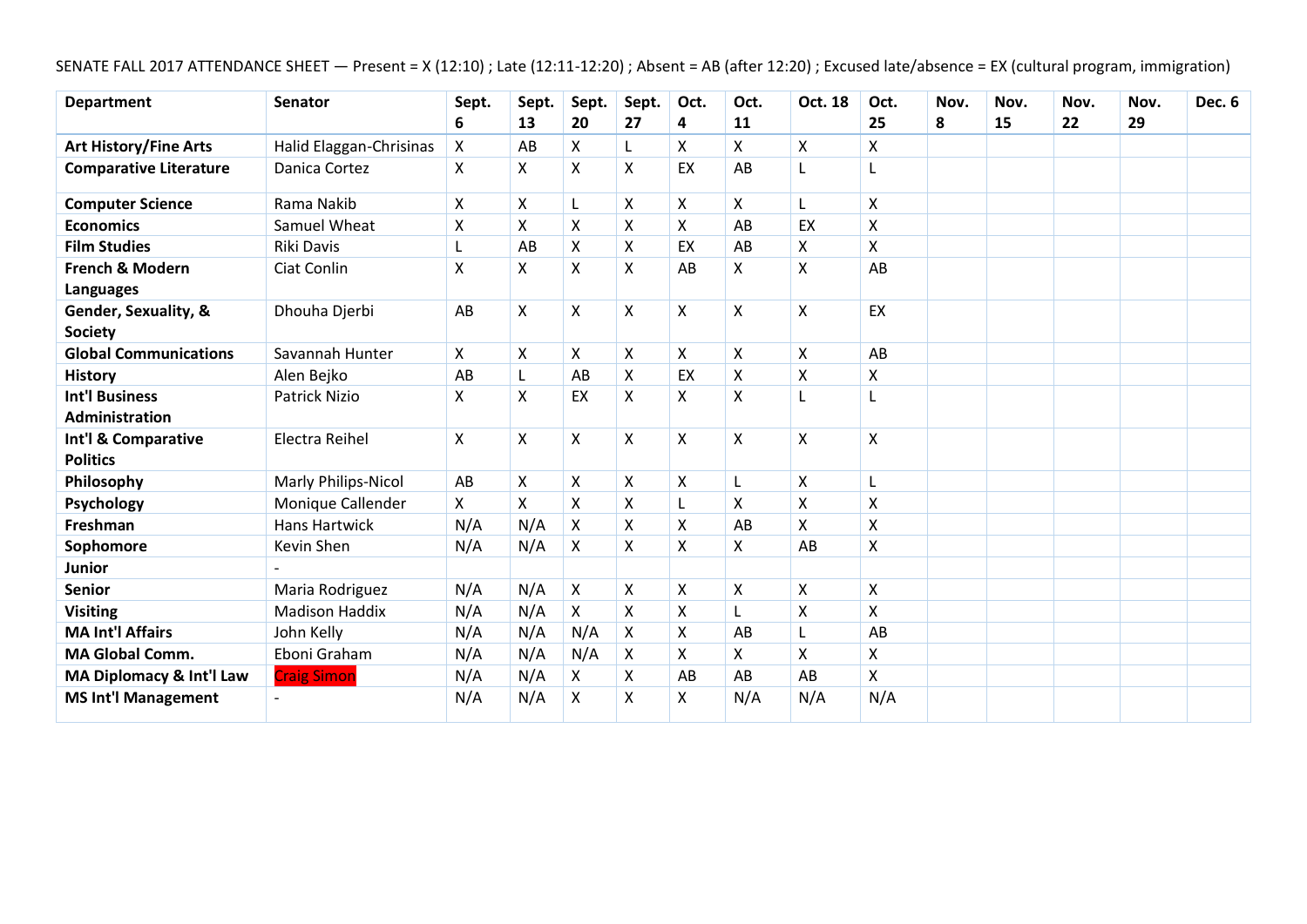SENATE FALL 2017 ATTENDANCE SHEET — Present = X (12:10) ; Late (12:11-12:20) ; Absent = AB (after 12:20) ; Excused late/absence = EX (cultural program, immigration)

| <b>Department</b>             | <b>Senator</b>          | Sept. | Sept. | Sept.              | Sept.              | Oct.               | Oct.                      | Oct. 18                   | Oct.               | Nov. | Nov. | Nov. | Nov. | Dec. 6 |
|-------------------------------|-------------------------|-------|-------|--------------------|--------------------|--------------------|---------------------------|---------------------------|--------------------|------|------|------|------|--------|
|                               |                         | 6     | 13    | 20                 | 27                 | 4                  | 11                        |                           | 25                 | 8    | 15   | 22   | 29   |        |
| <b>Art History/Fine Arts</b>  | Halid Elaggan-Chrisinas | X     | AB    | X                  | L                  | X                  | X                         | $\boldsymbol{\mathsf{X}}$ | X                  |      |      |      |      |        |
| <b>Comparative Literature</b> | Danica Cortez           | X     | X     | X                  | $\pmb{\mathsf{X}}$ | EX                 | AB                        |                           |                    |      |      |      |      |        |
| <b>Computer Science</b>       | Rama Nakib              | X     | X     | L                  | X                  | X                  | X                         | L                         | X                  |      |      |      |      |        |
| <b>Economics</b>              | Samuel Wheat            | X     | X     | X                  | X                  | X                  | AB                        | EX                        | $\mathsf{X}$       |      |      |      |      |        |
| <b>Film Studies</b>           | Riki Davis              |       | AB    | X                  | X                  | EX                 | AB                        | X                         | $\mathsf{X}$       |      |      |      |      |        |
| <b>French &amp; Modern</b>    | Ciat Conlin             | X     | X     | X                  | X                  | AB                 | X                         | $\boldsymbol{\mathsf{X}}$ | AB                 |      |      |      |      |        |
| <b>Languages</b>              |                         |       |       |                    |                    |                    |                           |                           |                    |      |      |      |      |        |
| Gender, Sexuality, &          | Dhouha Djerbi           | AB    | X     | X                  | $\pmb{\mathsf{X}}$ | X                  | $\boldsymbol{\mathsf{X}}$ | $\boldsymbol{\mathsf{X}}$ | EX                 |      |      |      |      |        |
| <b>Society</b>                |                         |       |       |                    |                    |                    |                           |                           |                    |      |      |      |      |        |
| <b>Global Communications</b>  | Savannah Hunter         | X     | X     | Χ                  | X                  | X                  | $\boldsymbol{\mathsf{X}}$ | $\boldsymbol{\mathsf{X}}$ | AB                 |      |      |      |      |        |
| <b>History</b>                | Alen Bejko              | AB    |       | AB                 | X                  | EX                 | $\mathsf{X}$              | $\boldsymbol{\mathsf{X}}$ | $\mathsf{X}$       |      |      |      |      |        |
| <b>Int'l Business</b>         | <b>Patrick Nizio</b>    | Χ     | X     | EX                 | X                  | X                  | $\boldsymbol{\mathsf{X}}$ | L                         |                    |      |      |      |      |        |
| Administration                |                         |       |       |                    |                    |                    |                           |                           |                    |      |      |      |      |        |
| Int'l & Comparative           | Electra Reihel          | X     | X     | X                  | X                  | X                  | $\boldsymbol{\mathsf{X}}$ | $\mathsf{X}$              | $\pmb{\mathsf{X}}$ |      |      |      |      |        |
| <b>Politics</b>               |                         |       |       |                    |                    |                    |                           |                           |                    |      |      |      |      |        |
| Philosophy                    | Marly Philips-Nicol     | AB    | X     | X                  | X                  | X                  | L                         | X                         | L                  |      |      |      |      |        |
| Psychology                    | Monique Callender       | X     | X     | $\pmb{\mathsf{X}}$ | X                  | L                  | $\pmb{\mathsf{X}}$        | $\pmb{\times}$            | $\pmb{\mathsf{X}}$ |      |      |      |      |        |
| Freshman                      | <b>Hans Hartwick</b>    | N/A   | N/A   | X                  | X                  | X                  | AB                        | X                         | X                  |      |      |      |      |        |
| Sophomore                     | Kevin Shen              | N/A   | N/A   | X                  | X                  | Χ                  | $\boldsymbol{\mathsf{X}}$ | AB                        | $\pmb{\mathsf{X}}$ |      |      |      |      |        |
| Junior                        |                         |       |       |                    |                    |                    |                           |                           |                    |      |      |      |      |        |
| <b>Senior</b>                 | Maria Rodriguez         | N/A   | N/A   | X                  | X                  | X                  | $\boldsymbol{\mathsf{X}}$ | $\boldsymbol{\mathsf{X}}$ | $\pmb{\mathsf{X}}$ |      |      |      |      |        |
| <b>Visiting</b>               | <b>Madison Haddix</b>   | N/A   | N/A   | Χ                  | $\pmb{\mathsf{X}}$ | X                  | L                         | $\boldsymbol{\mathsf{X}}$ | X                  |      |      |      |      |        |
| <b>MA Int'l Affairs</b>       | John Kelly              | N/A   | N/A   | N/A                | X                  | $\pmb{\mathsf{X}}$ | AB                        | L                         | AB                 |      |      |      |      |        |
| <b>MA Global Comm.</b>        | Eboni Graham            | N/A   | N/A   | N/A                | X                  | $\mathsf{X}$       | $\mathsf{X}$              | X                         | $\mathsf{X}$       |      |      |      |      |        |
| MA Diplomacy & Int'l Law      | <b>Craig Simon</b>      | N/A   | N/A   | X                  | X                  | AB                 | AB                        | AB                        | X                  |      |      |      |      |        |
| <b>MS Int'l Management</b>    |                         | N/A   | N/A   | X                  | Χ                  | X                  | N/A                       | N/A                       | N/A                |      |      |      |      |        |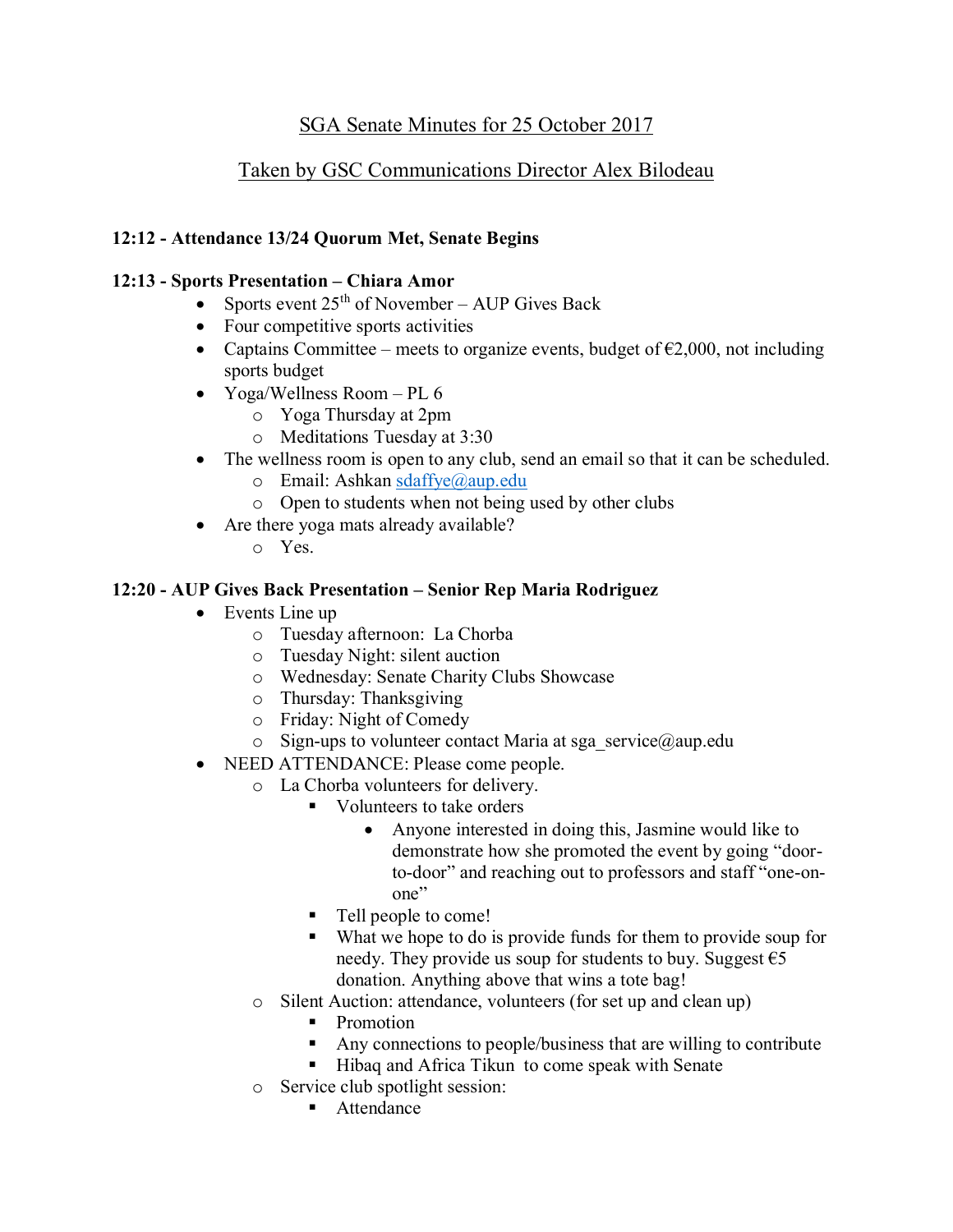# SGA Senate Minutes for 25 October 2017

# Taken by GSC Communications Director Alex Bilodeau

## 12:12 - Attendance 13/24 Quorum Met, Senate Begins

## 12:13 - Sports Presentation – Chiara Amor

- Sports event  $25<sup>th</sup>$  of November AUP Gives Back
- Four competitive sports activities
- Captains Committee meets to organize events, budget of  $\epsilon$ 2,000, not including sports budget
- Yoga/Wellness Room PL 6
	- o Yoga Thursday at 2pm
	- o Meditations Tuesday at 3:30
- The wellness room is open to any club, send an email so that it can be scheduled.
	- o Email: Ashkan [sdaffye@aup.edu](mailto:sdaffye@aup.edu)
	- o Open to students when not being used by other clubs
- Are there yoga mats already available?
	- o Yes.

## 12:20 - AUP Gives Back Presentation – Senior Rep Maria Rodriguez

- Events Line up
	- o Tuesday afternoon: La Chorba
	- o Tuesday Night: silent auction
	- o Wednesday: Senate Charity Clubs Showcase
	- o Thursday: Thanksgiving
	- o Friday: Night of Comedy
	- $\circ$  Sign-ups to volunteer contact Maria at sga\_service@aup.edu
- NEED ATTENDANCE: Please come people.
	- o La Chorba volunteers for delivery.
		- Volunteers to take orders
			- Anyone interested in doing this, Jasmine would like to demonstrate how she promoted the event by going "doorto-door" and reaching out to professors and staff "one-onone"
		- Tell people to come!
		- What we hope to do is provide funds for them to provide soup for needy. They provide us soup for students to buy. Suggest  $\epsilon$ 5 donation. Anything above that wins a tote bag!
	- o Silent Auction: attendance, volunteers (for set up and clean up)
		- Promotion
		- Any connections to people/business that are willing to contribute
		- Hibaq and Africa Tikun to come speak with Senate
	- o Service club spotlight session:
		- Attendance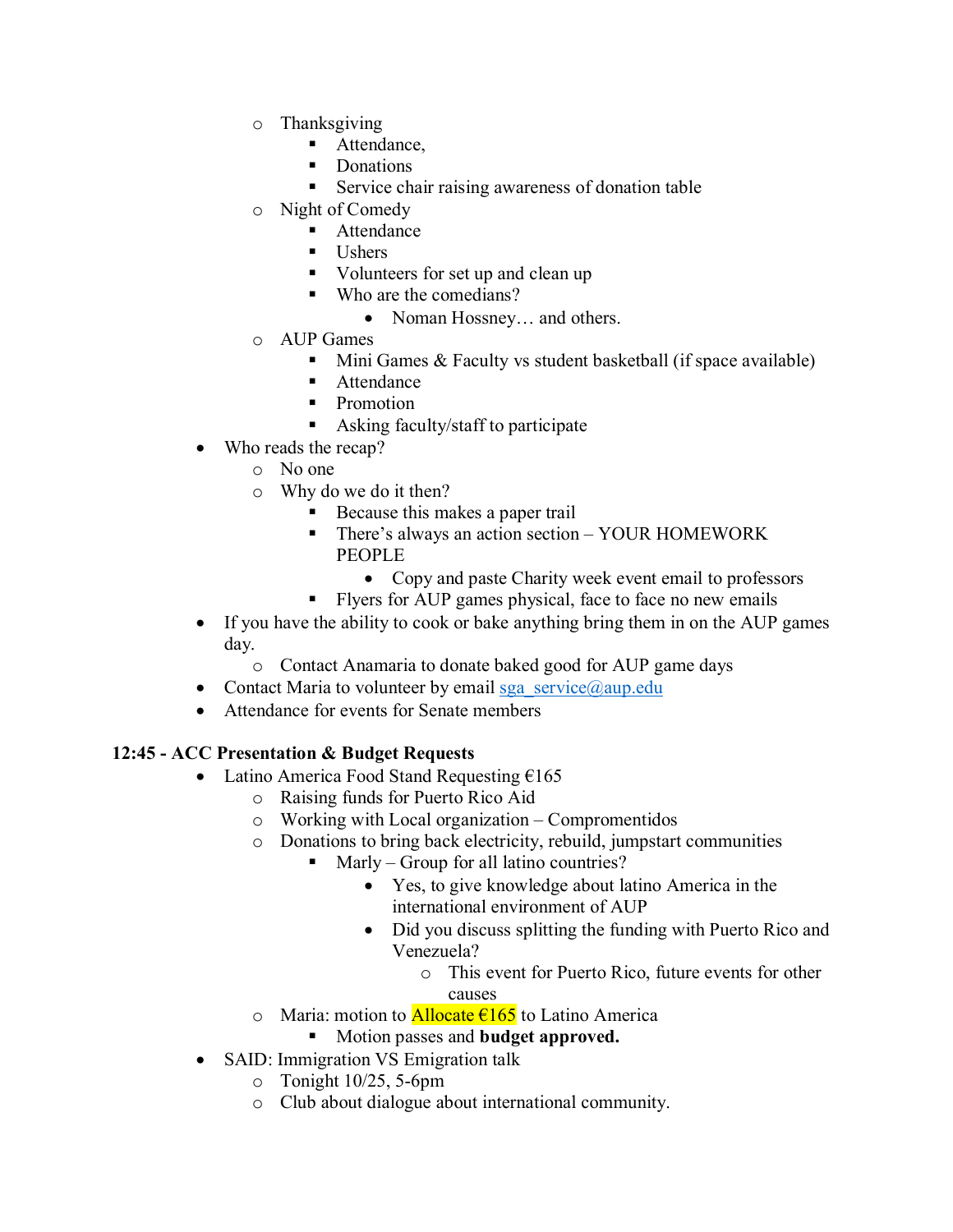- o Thanksgiving
	- Attendance,
	- Donations
	- **EXECUTE:** Service chair raising awareness of donation table
- o Night of Comedy
	- Attendance
	- Ushers
	- Volunteers for set up and clean up
	- Who are the comedians?
		- Noman Hossney... and others.
- o AUP Games
	- $\blacksquare$  Mini Games & Faculty vs student basketball (if space available)
	- **Attendance**
	- **Promotion**
	- Asking faculty/staff to participate
- Who reads the recap?
	- o No one
	- o Why do we do it then?
		- Because this makes a paper trail
		- **•** There's always an action section YOUR HOMEWORK PEOPLE
			- Copy and paste Charity week event email to professors
		- Flyers for AUP games physical, face to face no new emails
- If you have the ability to cook or bake anything bring them in on the AUP games day.
	- o Contact Anamaria to donate baked good for AUP game days
- Contact Maria to volunteer by email [sga\\_service@aup.edu](mailto:sga_service@aup.edu)
- Attendance for events for Senate members

# 12:45 - ACC Presentation & Budget Requests

- Latino America Food Stand Requesting  $£165$ 
	- o Raising funds for Puerto Rico Aid
	- o Working with Local organization Compromentidos
	- o Donations to bring back electricity, rebuild, jumpstart communities
		- Marly Group for all latino countries?
			- Yes, to give knowledge about latino America in the international environment of AUP
			- Did you discuss splitting the funding with Puerto Rico and Venezuela?
				- o This event for Puerto Rico, future events for other causes
	- o Maria: motion to **Allocate**  $\epsilon$ 165 to Latino America
		- Motion passes and **budget approved.**
- SAID: Immigration VS Emigration talk
	- o Tonight 10/25, 5-6pm
	- o Club about dialogue about international community.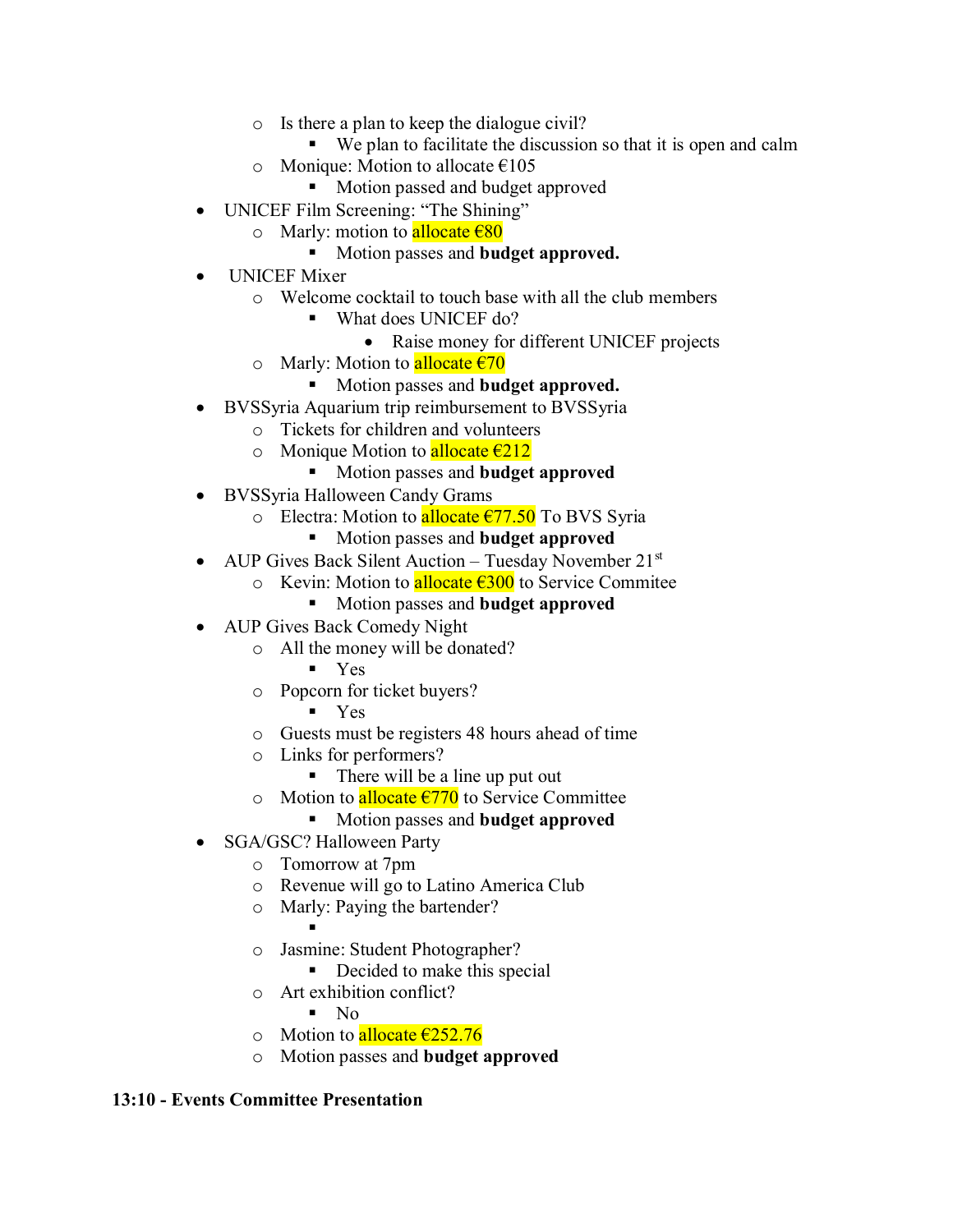- o Is there a plan to keep the dialogue civil?
	- We plan to facilitate the discussion so that it is open and calm
- o Monique: Motion to allocate  $\epsilon$ 105
	- Motion passed and budget approved
- UNICEF Film Screening: "The Shining"
	- o Marly: motion to allocate  $\epsilon$ 80
		- Motion passes and **budget approved.**
- UNICEF Mixer
	- o Welcome cocktail to touch base with all the club members
		- What does UNICEF do?
			- Raise money for different UNICEF projects
	- o Marly: Motion to **allocate**  $\epsilon$ 70
		- Motion passes and **budget approved.**
- BVSSyria Aquarium trip reimbursement to BVSSyria
	- o Tickets for children and volunteers
	- o Monique Motion to allocate  $\epsilon$ 212
		- Motion passes and **budget approved**
- BVSSyria Halloween Candy Grams
	- o Electra: Motion to allocate  $\epsilon$ 77.50 To BVS Syria
		- Motion passes and **budget approved**
- AUP Gives Back Silent Auction Tuesday November  $21^{st}$ 
	- o Kevin: Motion to **allocate €300** to Service Commitee
		- Motion passes and **budget approved**
- AUP Gives Back Comedy Night
	- o All the money will be donated?
		- Yes
	- o Popcorn for ticket buyers?
		- Yes
	- o Guests must be registers 48 hours ahead of time
	- o Links for performers?
		- $\blacksquare$  There will be a line up put out
	- o Motion to allocate €770 to Service Committee
		- Motion passes and **budget approved**
- SGA/GSC? Halloween Party
	- o Tomorrow at 7pm
	- o Revenue will go to Latino America Club
	- o Marly: Paying the bartender?
		- ▪
	- o Jasmine: Student Photographer?
		- Decided to make this special
	- o Art exhibition conflict?
		- $\blacksquare$  No
	- o Motion to **allocate**  $\epsilon$ **252.76**
	- o Motion passes and budget approved

#### 13:10 - Events Committee Presentation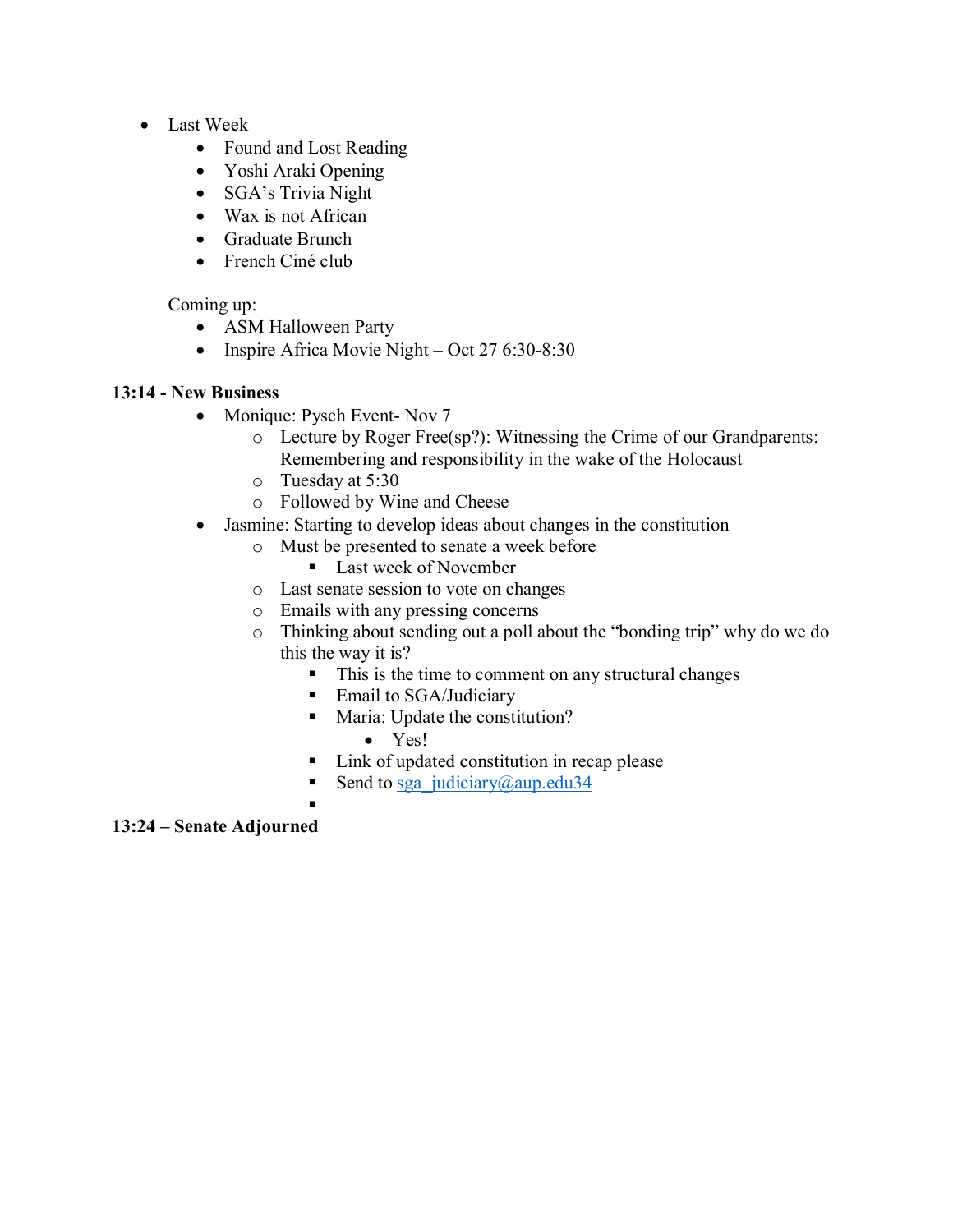- Last Week
	- Found and Lost Reading
	- Yoshi Araki Opening
	- SGA's Trivia Night
	- Wax is not African
	- Graduate Brunch
	- French Ciné club

## Coming up:

- ASM Halloween Party
- Inspire Africa Movie Night Oct 27 6:30-8:30

## 13:14 - New Business

- Monique: Pysch Event- Nov 7
	- o Lecture by Roger Free(sp?): Witnessing the Crime of our Grandparents: Remembering and responsibility in the wake of the Holocaust
	- o Tuesday at 5:30
	- o Followed by Wine and Cheese
- Jasmine: Starting to develop ideas about changes in the constitution
	- o Must be presented to senate a week before
		- Last week of November
	- o Last senate session to vote on changes
	- o Emails with any pressing concerns
	- o Thinking about sending out a poll about the "bonding trip" why do we do this the way it is?
		- This is the time to comment on any structural changes
		- Email to SGA/Judiciary
		- Maria: Update the constitution?
			- Yes!
		- Link of updated constitution in recap please
		- Send to [sga\\_judiciary@aup.edu34](mailto:sga_judiciary@aup.edu34)

#### ▪

# 13:24 – Senate Adjourned